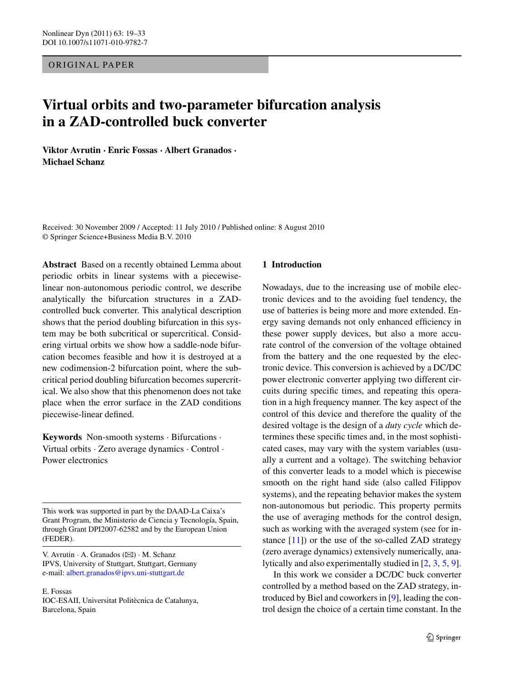# ORIGINAL PAPER

# **Virtual orbits and two-parameter bifurcation analysis in a ZAD-controlled buck converter**

**Viktor Avrutin · Enric Fossas · Albert Granados · Michael Schanz**

Received: 30 November 2009 / Accepted: 11 July 2010 / Published online: 8 August 2010 © Springer Science+Business Media B.V. 2010

**Abstract** Based on a recently obtained Lemma about periodic orbits in linear systems with a piecewiselinear non-autonomous periodic control, we describe analytically the bifurcation structures in a ZADcontrolled buck converter. This analytical description shows that the period doubling bifurcation in this system may be both subcritical or supercritical. Considering virtual orbits we show how a saddle-node bifurcation becomes feasible and how it is destroyed at a new codimension-2 bifurcation point, where the subcritical period doubling bifurcation becomes supercritical. We also show that this phenomenon does not take place when the error surface in the ZAD conditions piecewise-linear defined.

**Keywords** Non-smooth systems · Bifurcations · Virtual orbits · Zero average dynamics · Control · Power electronics

This work was supported in part by the DAAD-La Caixa's Grant Program, the Ministerio de Ciencia y Tecnología, Spain, through Grant DPI2007-62582 and by the European Union (FEDER).

V. Avrutin  $\cdot$  A. Granados ( $\boxtimes$ )  $\cdot$  M. Schanz IPVS, University of Stuttgart, Stuttgart, Germany e-mail: [albert.granados@ipvs.uni-stuttgart.de](mailto:albert.granados@ipvs.uni-stuttgart.de)

E. Fossas IOC-ESAII, Universitat Politècnica de Catalunya, Barcelona, Spain

# **1 Introduction**

Nowadays, due to the increasing use of mobile electronic devices and to the avoiding fuel tendency, the use of batteries is being more and more extended. Energy saving demands not only enhanced efficiency in these power supply devices, but also a more accurate control of the conversion of the voltage obtained from the battery and the one requested by the electronic device. This conversion is achieved by a DC/DC power electronic converter applying two different circuits during specific times, and repeating this operation in a high frequency manner. The key aspect of the control of this device and therefore the quality of the desired voltage is the design of a *duty cycle* which determines these specific times and, in the most sophisticated cases, may vary with the system variables (usually a current and a voltage). The switching behavior of this converter leads to a model which is piecewise smooth on the right hand side (also called Filippov systems), and the repeating behavior makes the system non-autonomous but periodic. This property permits the use of averaging methods for the control design, such as working with the averaged system (see for instance  $[11]$  $[11]$ ) or the use of the so-called ZAD strategy (zero average dynamics) extensively numerically, analytically and also experimentally studied in [\[2](#page-14-1), [3](#page-14-2), [5](#page-14-3), [9](#page-14-4)].

In this work we consider a DC/DC buck converter controlled by a method based on the ZAD strategy, introduced by Biel and coworkers in [\[9](#page-14-4)], leading the control design the choice of a certain time constant. In the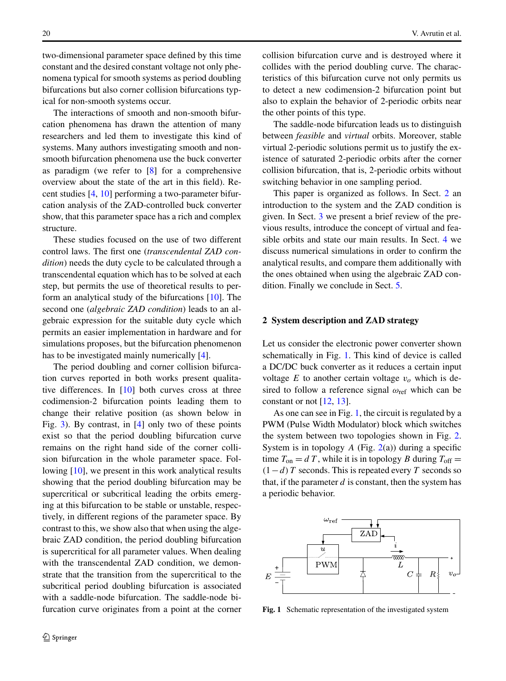two-dimensional parameter space defined by this time constant and the desired constant voltage not only phenomena typical for smooth systems as period doubling bifurcations but also corner collision bifurcations typical for non-smooth systems occur.

The interactions of smooth and non-smooth bifurcation phenomena has drawn the attention of many researchers and led them to investigate this kind of systems. Many authors investigating smooth and nonsmooth bifurcation phenomena use the buck converter as paradigm (we refer to [[8\]](#page-14-5) for a comprehensive overview about the state of the art in this field). Recent studies [\[4](#page-14-6), [10](#page-14-7)] performing a two-parameter bifurcation analysis of the ZAD-controlled buck converter show, that this parameter space has a rich and complex structure.

These studies focused on the use of two different control laws. The first one (*transcendental ZAD condition*) needs the duty cycle to be calculated through a transcendental equation which has to be solved at each step, but permits the use of theoretical results to perform an analytical study of the bifurcations [[10\]](#page-14-7). The second one (*algebraic ZAD condition*) leads to an algebraic expression for the suitable duty cycle which permits an easier implementation in hardware and for simulations proposes, but the bifurcation phenomenon has to be investigated mainly numerically [\[4](#page-14-6)].

The period doubling and corner collision bifurcation curves reported in both works present qualitative differences. In [[10\]](#page-14-7) both curves cross at three codimension-2 bifurcation points leading them to change their relative position (as shown below in Fig. [3](#page-4-0)). By contrast, in [\[4](#page-14-6)] only two of these points exist so that the period doubling bifurcation curve remains on the right hand side of the corner collision bifurcation in the whole parameter space. Following [\[10](#page-14-7)], we present in this work analytical results showing that the period doubling bifurcation may be supercritical or subcritical leading the orbits emerging at this bifurcation to be stable or unstable, respectively, in different regions of the parameter space. By contrast to this, we show also that when using the algebraic ZAD condition, the period doubling bifurcation is supercritical for all parameter values. When dealing with the transcendental ZAD condition, we demonstrate that the transition from the supercritical to the subcritical period doubling bifurcation is associated with a saddle-node bifurcation. The saddle-node bifurcation curve originates from a point at the corner collision bifurcation curve and is destroyed where it collides with the period doubling curve. The characteristics of this bifurcation curve not only permits us to detect a new codimension-2 bifurcation point but also to explain the behavior of 2-periodic orbits near the other points of this type.

The saddle-node bifurcation leads us to distinguish between *feasible* and *virtual* orbits. Moreover, stable virtual 2-periodic solutions permit us to justify the existence of saturated 2-periodic orbits after the corner collision bifurcation, that is, 2-periodic orbits without switching behavior in one sampling period.

<span id="page-1-0"></span>This paper is organized as follows. In Sect. [2](#page-1-0) an introduction to the system and the ZAD condition is given. In Sect. [3](#page-3-0) we present a brief review of the previous results, introduce the concept of virtual and feasible orbits and state our main results. In Sect. [4](#page-11-0) we discuss numerical simulations in order to confirm the analytical results, and compare them additionally with the ones obtained when using the algebraic ZAD condition. Finally we conclude in Sect. [5.](#page-13-0)

#### **2 System description and ZAD strategy**

Let us consider the electronic power converter shown schematically in Fig. [1](#page-1-1). This kind of device is called a DC/DC buck converter as it reduces a certain input voltage  $E$  to another certain voltage  $v<sub>o</sub>$  which is desired to follow a reference signal *ω*ref which can be constant or not  $[12, 13]$  $[12, 13]$  $[12, 13]$  $[12, 13]$ .

As one can see in Fig. [1,](#page-1-1) the circuit is regulated by a PWM (Pulse Width Modulator) block which switches the system between two topologies shown in Fig. [2.](#page-2-0) System is in topology *A* (Fig. [2](#page-2-0)(a)) during a specific time  $T_{on} = dT$ , while it is in topology *B* during  $T_{off} =$  $(1-d)$  *T* seconds. This is repeated every *T* seconds so that, if the parameter *d* is constant, then the system has a periodic behavior.

<span id="page-1-1"></span>

**Fig. 1** Schematic representation of the investigated system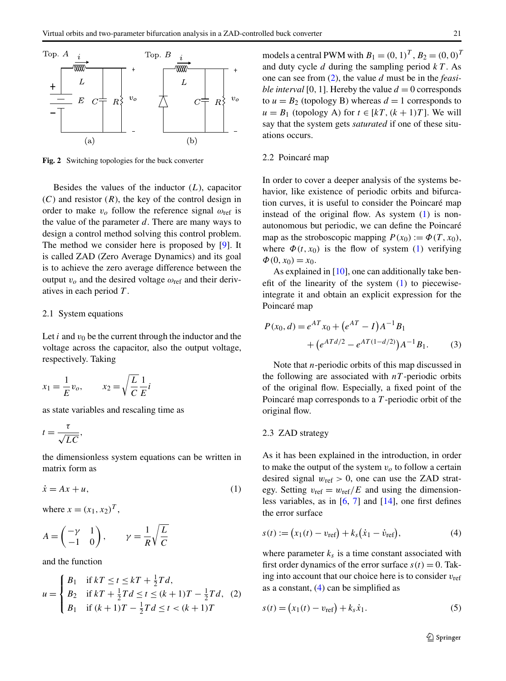<span id="page-2-0"></span>

**Fig. 2** Switching topologies for the buck converter

Besides the values of the inductor (*L*), capacitor (*C*) and resistor (*R*), the key of the control design in order to make  $v<sub>o</sub>$  follow the reference signal  $\omega_{ref}$  is the value of the parameter *d*. There are many ways to design a control method solving this control problem. The method we consider here is proposed by [\[9](#page-14-4)]. It is called ZAD (Zero Average Dynamics) and its goal is to achieve the zero average difference between the output  $v<sub>o</sub>$  and the desired voltage  $\omega_{ref}$  and their derivatives in each period *T* .

#### 2.1 System equations

Let  $i$  and  $v_0$  be the current through the inductor and the voltage across the capacitor, also the output voltage, respectively. Taking

$$
x_1 = \frac{1}{E}v_o, \qquad x_2 = \sqrt{\frac{L}{C}}\frac{1}{E}i
$$

as state variables and rescaling time as

$$
t = \frac{\tau}{\sqrt{LC}},
$$

the dimensionless system equations can be written in matrix form as

$$
\dot{x} = Ax + u,\tag{1}
$$

where  $x = (x_1, x_2)^T$ ,

$$
A = \begin{pmatrix} -\gamma & 1 \\ -1 & 0 \end{pmatrix}, \qquad \gamma = \frac{1}{R} \sqrt{\frac{L}{C}}
$$

and the function

$$
u = \begin{cases} B_1 & \text{if } k \le t \le k \le \frac{1}{2} \le d, \\ B_2 & \text{if } k \le \frac{1}{2} \le k \le (k+1) \le \frac{1}{2} \le d, \\ B_1 & \text{if } (k+1) \le k \le k \le (k+1) \le k \end{cases} \tag{2}
$$

models a central PWM with  $B_1 = (0, 1)^T$ ,  $B_2 = (0, 0)^T$ and duty cycle *d* during the sampling period *k T* . As one can see from ([2\)](#page-2-1), the value *d* must be in the *feasible interval* [0, 1]. Hereby the value  $d = 0$  corresponds to  $u = B_2$  (topology B) whereas  $d = 1$  corresponds to *u* = *B*<sub>1</sub> (topology A) for *t* ∈ [ $kT$ ,  $(k + 1)T$ ]. We will say that the system gets *saturated* if one of these situations occurs.

# 2.2 Poincaré map

In order to cover a deeper analysis of the systems behavior, like existence of periodic orbits and bifurcation curves, it is useful to consider the Poincaré map instead of the original flow. As system ([1\)](#page-2-2) is nonautonomous but periodic, we can define the Poincaré map as the stroboscopic mapping  $P(x_0) := \Phi(T, x_0)$ , where  $\Phi(t, x_0)$  is the flow of system ([1\)](#page-2-2) verifying  $\Phi(0, x_0) = x_0$ .

<span id="page-2-5"></span>As explained in  $[10]$  $[10]$ , one can additionally take benefit of the linearity of the system  $(1)$  $(1)$  to piecewiseintegrate it and obtain an explicit expression for the Poincaré map

$$
P(x_0, d) = e^{AT} x_0 + (e^{AT} - I)A^{-1}B_1
$$
  
+ 
$$
(e^{ATd/2} - e^{AT(1-d/2)})A^{-1}B_1.
$$
 (3)

<span id="page-2-6"></span>Note that *n*-periodic orbits of this map discussed in the following are associated with *nT* -periodic orbits of the original flow. Especially, a fixed point of the Poincaré map corresponds to a *T* -periodic orbit of the original flow.

# <span id="page-2-2"></span>2.3 ZAD strategy

<span id="page-2-3"></span>As it has been explained in the introduction, in order to make the output of the system  $v<sub>o</sub>$  to follow a certain desired signal  $w_{ref} > 0$ , one can use the ZAD strategy. Setting  $v_{ref} = w_{ref}/E$  and using the dimensionless variables, as in  $[6, 7]$  $[6, 7]$  $[6, 7]$  $[6, 7]$  and  $[14]$  $[14]$ , one first defines the error surface

<span id="page-2-4"></span><span id="page-2-1"></span>
$$
s(t) := (x_1(t) - v_{ref}) + k_s(\dot{x}_1 - \dot{v}_{ref}),
$$
\n(4)

where parameter  $k<sub>s</sub>$  is a time constant associated with first order dynamics of the error surface  $s(t) = 0$ . Taking into account that our choice here is to consider *v*ref as a constant,  $(4)$  $(4)$  can be simplified as

$$
s(t) = (x_1(t) - v_{\text{ref}}) + k_s \dot{x}_1.
$$
 (5)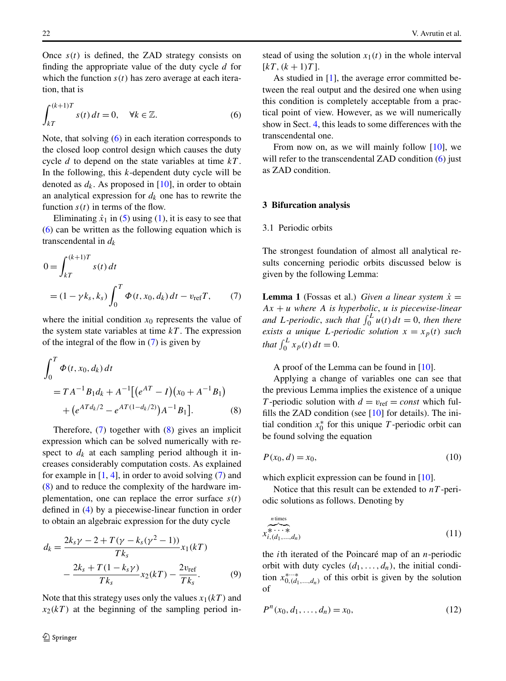Once  $s(t)$  is defined, the ZAD strategy consists on finding the appropriate value of the duty cycle *d* for which the function  $s(t)$  has zero average at each iteration, that is

$$
\int_{kT}^{(k+1)T} s(t) dt = 0, \quad \forall k \in \mathbb{Z}.
$$
 (6)

Note, that solving  $(6)$  $(6)$  in each iteration corresponds to the closed loop control design which causes the duty cycle *d* to depend on the state variables at time *kT* . In the following, this *k*-dependent duty cycle will be denoted as  $d_k$ . As proposed in  $[10]$  $[10]$ , in order to obtain an analytical expression for  $d_k$  one has to rewrite the function  $s(t)$  in terms of the flow.

Eliminating  $\dot{x}_1$  in ([5\)](#page-2-4) using ([1\)](#page-2-2), it is easy to see that [\(6](#page-3-1)) can be written as the following equation which is transcendental in *dk*

$$
0 = \int_{kT}^{(k+1)T} s(t) dt
$$
  
=  $(1 - \gamma k_s, k_s) \int_0^T \Phi(t, x_0, d_k) dt - v_{\text{ref}}T,$  (7)

where the initial condition  $x_0$  represents the value of the system state variables at time *kT* . The expression of the integral of the flow in [\(7](#page-3-2)) is given by

$$
\int_0^T \Phi(t, x_0, d_k) dt
$$
  
=  $T A^{-1} B_1 d_k + A^{-1} [(e^{AT} - I)(x_0 + A^{-1} B_1)$   
+  $(e^{ATd_k/2} - e^{AT(1-d_k/2)}) A^{-1} B_1].$  (8)

Therefore, ([7\)](#page-3-2) together with [\(8](#page-3-3)) gives an implicit expression which can be solved numerically with respect to  $d_k$  at each sampling period although it increases considerably computation costs. As explained for example in  $[1, 4]$  $[1, 4]$  $[1, 4]$  $[1, 4]$ , in order to avoid solving  $(7)$  $(7)$  and [\(8](#page-3-3)) and to reduce the complexity of the hardware implementation, one can replace the error surface  $s(t)$ defined in ([4](#page-2-3)) by a piecewise-linear function in order to obtain an algebraic expression for the duty cycle

$$
d_k = \frac{2k_s\gamma - 2 + T(\gamma - k_s(\gamma^2 - 1))}{Tk_s}x_1(kT)
$$

$$
- \frac{2k_s + T(1 - k_s\gamma)}{Tk_s}x_2(kT) - \frac{2v_{\text{ref}}}{Tk_s}.
$$
(9)

Note that this strategy uses only the values  $x_1(kT)$  and  $x_2(kT)$  at the beginning of the sampling period in<span id="page-3-1"></span>stead of using the solution  $x_1(t)$  in the whole interval  $[kT, (k+1)T]$ .

As studied in [[1\]](#page-14-13), the average error committed between the real output and the desired one when using this condition is completely acceptable from a practical point of view. However, as we will numerically show in Sect. [4,](#page-11-0) this leads to some differences with the transcendental one.

<span id="page-3-0"></span>From now on, as we will mainly follow [\[10](#page-14-7)], we will refer to the transcendental ZAD condition [\(6\)](#page-3-1) just as ZAD condition.

## <span id="page-3-2"></span>**3 Bifurcation analysis**

#### 3.1 Periodic orbits

The strongest foundation of almost all analytical results concerning periodic orbits discussed below is given by the following Lemma:

<span id="page-3-3"></span>**Lemma 1** (Fossas et al.) *Given a linear system*  $\dot{x}$  = *Ax* + *u where A is hyperbolic*, *u is piecewise-linear and L*-periodic, such that  $\int_0^L u(t) dt = 0$ , then there *exists a unique L-periodic solution*  $x = x_p(t)$  *such that*  $\int_0^L x_p(t) dt = 0$ .

<span id="page-3-4"></span>A proof of the Lemma can be found in [[10](#page-14-7)].

Applying a change of variables one can see that the previous Lemma implies the existence of a unique *T*-periodic solution with  $d = v_{ref} = const$  which fulfills the ZAD condition (see  $[10]$  $[10]$  for details). The initial condition  $x_0^*$  for this unique *T*-periodic orbit can be found solving the equation

$$
P(x_0, d) = x_0,\t(10)
$$

which explicit expression can be found in [\[10](#page-14-7)].

<span id="page-3-6"></span>Notice that this result can be extended to *nT* -periodic solutions as follows. Denoting by

<span id="page-3-5"></span>
$$
\overbrace{x_i^*, \dots^*}_{i, (d_1, \dots, d_n)}^{\text{n times}} \tag{11}
$$

the *i*th iterated of the Poincaré map of an *n*-periodic orbit with duty cycles  $(d_1, \ldots, d_n)$ , the initial condition  $x_{0,(d_1,...,d_n)}^{*...*}$  of this orbit is given by the solution of

$$
P^{n}(x_0, d_1, \dots, d_n) = x_0,
$$
\n(12)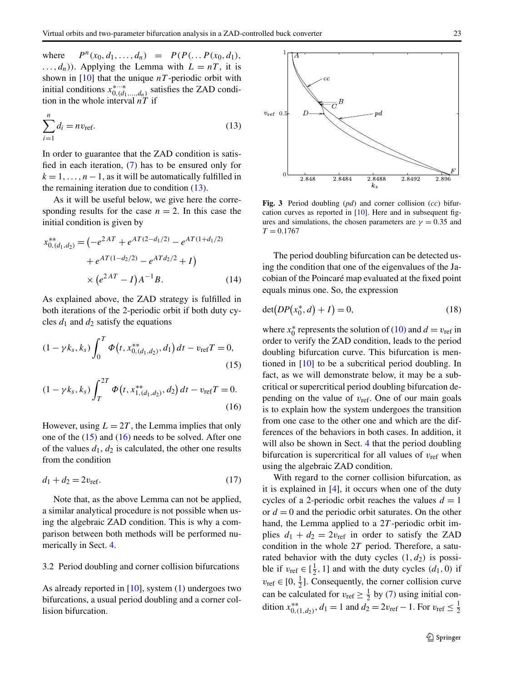where  $P^n(x_0, d_1, ..., d_n) = P(P(...P(x_0, d_1)),$  $\dots, d_n$ )). Applying the Lemma with  $L = nT$ , it is shown in [\[10\]](#page-14-7) that the unique *nT* -periodic orbit with initial conditions  $x_{0,(d_1,...,d_n)}^{*...*}$  satisfies the ZAD condition in the whole interval *nT* if

$$
\sum_{i=1}^{n} d_i = n v_{\text{ref}}.\tag{13}
$$

In order to guarantee that the ZAD condition is satisfied in each iteration, [\(7](#page-3-2)) has to be ensured only for  $k = 1, \ldots, n-1$ , as it will be automatically fulfilled in the remaining iteration due to condition ([13\)](#page-4-1).

As it will be useful below, we give here the corresponding results for the case  $n = 2$ . In this case the initial condition is given by

$$
x_{0,(d_1,d_2)}^{**} = \left(-e^{2AT} + e^{AT(2-d_1/2)} - e^{AT(1+d_1/2)}\right)
$$

$$
+ e^{AT(1-d_2/2)} - e^{ATd_2/2} + I\right)
$$

$$
\times \left(e^{2AT} - I\right)A^{-1}B. \tag{14}
$$

As explained above, the ZAD strategy is fulfilled in both iterations of the 2-periodic orbit if both duty cycles  $d_1$  and  $d_2$  satisfy the equations

$$
(1 - \gamma k_s, k_s) \int_0^T \Phi(t, x_{0, (d_1, d_2)}^{**}, d_1) dt - v_{\text{ref}} T = 0,
$$
\n(15)

$$
(1 - \gamma k_s, k_s) \int_T^{2T} \Phi(t, x_{1, (d_1, d_2)}^{**}, d_2) dt - v_{\text{ref}} T = 0.
$$
\n(16)

However, using  $L = 2T$ , the Lemma implies that only one of the ([15\)](#page-4-2) and [\(16](#page-4-3)) needs to be solved. After one of the values  $d_1$ ,  $d_2$  is calculated, the other one results from the condition

$$
d_1 + d_2 = 2v_{\text{ref}}.\t(17)
$$

Note that, as the above Lemma can not be applied, a similar analytical procedure is not possible when using the algebraic ZAD condition. This is why a comparison between both methods will be performed numerically in Sect. [4](#page-11-0).

## 3.2 Period doubling and corner collision bifurcations

As already reported in  $[10]$  $[10]$ , system  $(1)$  $(1)$  undergoes two bifurcations, a usual period doubling and a corner collision bifurcation.

<span id="page-4-1"></span>

<span id="page-4-4"></span><span id="page-4-0"></span>**Fig. 3** Period doubling (*pd*) and corner collision (*cc*) bifurcation curves as reported in  $[10]$ . Here and in subsequent figures and simulations, the chosen parameters are  $\gamma = 0.35$  and  $T = 0.1767$ 

<span id="page-4-2"></span>The period doubling bifurcation can be detected using the condition that one of the eigenvalues of the Jacobian of the Poincaré map evaluated at the fixed point equals minus one. So, the expression

$$
\det(DP(x_0^*, d) + I) = 0,\t(18)
$$

<span id="page-4-5"></span><span id="page-4-3"></span>where  $x_0^*$  represents the solution of [\(10](#page-3-4)) and  $d = v_{ref}$  in order to verify the ZAD condition, leads to the period doubling bifurcation curve. This bifurcation is mentioned in [[10\]](#page-14-7) to be a subcritical period doubling. In fact, as we will demonstrate below, it may be a subcritical or supercritical period doubling bifurcation depending on the value of  $v_{\text{ref}}$ . One of our main goals is to explain how the system undergoes the transition from one case to the other one and which are the differences of the behaviors in both cases. In addition, it will also be shown in Sect. [4](#page-11-0) that the period doubling bifurcation is supercritical for all values of *v*ref when using the algebraic ZAD condition.

With regard to the corner collision bifurcation, as it is explained in [\[4](#page-14-6)], it occurs when one of the duty cycles of a 2-periodic orbit reaches the values  $d = 1$ or  $d = 0$  and the periodic orbit saturates. On the other hand, the Lemma applied to a 2*T* -periodic orbit implies  $d_1 + d_2 = 2v_{ref}$  in order to satisfy the ZAD condition in the whole 2*T* period. Therefore, a saturated behavior with the duty cycles  $(1, d_2)$  is possible if  $v_{ref} \in [\frac{1}{2}, 1]$  and with the duty cycles  $(d_1, 0)$  if  $v_{\text{ref}} \in [0, \frac{1}{2}]$ . Consequently, the corner collision curve can be calculated for  $v_{\text{ref}} \ge \frac{1}{2}$  by [\(7](#page-3-2)) using initial condition  $x_{0,(1,d_2)}^{**}$ ,  $d_1 = 1$  and  $d_2 = 2v_{\text{ref}} - 1$ . For  $v_{\text{ref}} \leq \frac{1}{2}$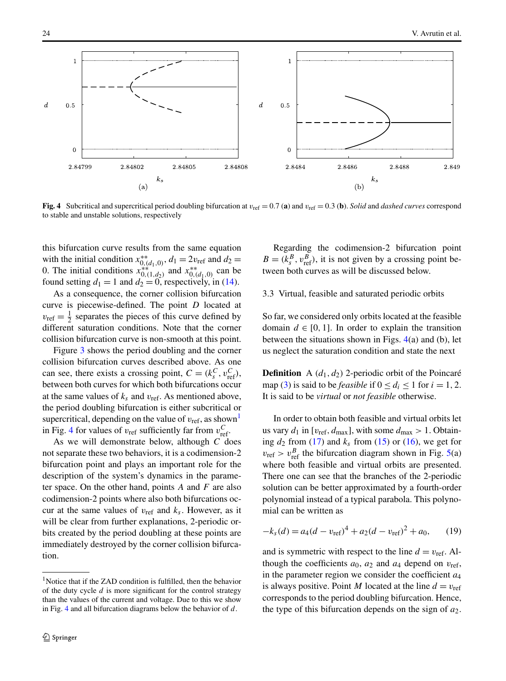

<span id="page-5-1"></span>**Fig. 4** Subcritical and supercritical period doubling bifurcation at  $v_{\text{ref}} = 0.7$  (a) and  $v_{\text{ref}} = 0.3$  (b). *Solid* and *dashed curves* correspond to stable and unstable solutions, respectively

this bifurcation curve results from the same equation with the initial condition  $x_{0,(d_1,0)}^{**}$ ,  $d_1 = 2v_{\text{ref}}$  and  $d_2 =$ 0. The initial conditions  $x_{0,(1,d_2)}^{**}$  and  $x_{0,(d_1,0)}^{**}$  can be found setting  $d_1 = 1$  and  $d_2 = 0$ , respectively, in [\(14](#page-4-4)).

As a consequence, the corner collision bifurcation curve is piecewise-defined. The point *D* located at  $v_{\text{ref}} = \frac{1}{2}$  separates the pieces of this curve defined by different saturation conditions. Note that the corner collision bifurcation curve is non-smooth at this point.

Figure [3](#page-4-0) shows the period doubling and the corner collision bifurcation curves described above. As one can see, there exists a crossing point,  $C = (k_s^C, v_{\text{ref}}^C)$ , between both curves for which both bifurcations occur at the same values of  $k_s$  and  $v_{\text{ref}}$ . As mentioned above, the period doubling bifurcation is either subcritical or supercritical, depending on the value of  $v_{\text{ref}}$ , as shown<sup>[1](#page-5-0)</sup> in Fig. [4](#page-5-1) for values of  $v_{ref}$  sufficiently far from  $v_{ref}^C$ .

<span id="page-5-0"></span>As we will demonstrate below, although *C* does not separate these two behaviors, it is a codimension-2 bifurcation point and plays an important role for the description of the system's dynamics in the parameter space. On the other hand, points *A* and *F* are also codimension-2 points where also both bifurcations occur at the same values of  $v_{ref}$  and  $k_s$ . However, as it will be clear from further explanations, 2-periodic orbits created by the period doubling at these points are immediately destroyed by the corner collision bifurcation.

Regarding the codimension-2 bifurcation point  $B = (k_s^B, v_{\text{ref}}^B)$ , it is not given by a crossing point between both curves as will be discussed below.

### 3.3 Virtual, feasible and saturated periodic orbits

So far, we considered only orbits located at the feasible domain  $d \in [0, 1]$ . In order to explain the transition between the situations shown in Figs.  $4(a)$  $4(a)$  and (b), let us neglect the saturation condition and state the next

**Definition** A  $(d_1, d_2)$  2-periodic orbit of the Poincaré map ([3\)](#page-2-5) is said to be *feasible* if  $0 \le d_i \le 1$  for  $i = 1, 2$ . It is said to be *virtual* or *not feasible* otherwise.

<span id="page-5-2"></span>In order to obtain both feasible and virtual orbits let us vary  $d_1$  in [ $v_{ref}$ ,  $d_{max}$ ], with some  $d_{max} > 1$ . Obtaining  $d_2$  from ([17\)](#page-4-5) and  $k_s$  from [\(15](#page-4-2)) or [\(16](#page-4-3)), we get for  $v_{\text{ref}} > v_{\text{ref}}^B$  the bifurcation diagram shown in Fig. [5](#page-6-0)(a) where both feasible and virtual orbits are presented. There one can see that the branches of the 2-periodic solution can be better approximated by a fourth-order polynomial instead of a typical parabola. This polynomial can be written as

$$
-k_s(d) = a_4(d - v_{ref})^4 + a_2(d - v_{ref})^2 + a_0,
$$
 (19)

and is symmetric with respect to the line  $d = v_{ref}$ . Although the coefficients  $a_0$ ,  $a_2$  and  $a_4$  depend on  $v_{\text{ref}}$ , in the parameter region we consider the coefficient *a*<sup>4</sup> is always positive. Point *M* located at the line  $d = v_{ref}$ corresponds to the period doubling bifurcation. Hence, the type of this bifurcation depends on the sign of *a*2.

<sup>&</sup>lt;sup>1</sup>Notice that if the ZAD condition is fulfilled, then the behavior of the duty cycle *d* is more significant for the control strategy than the values of the current and voltage. Due to this we show in Fig. [4](#page-5-1) and all bifurcation diagrams below the behavior of *d*.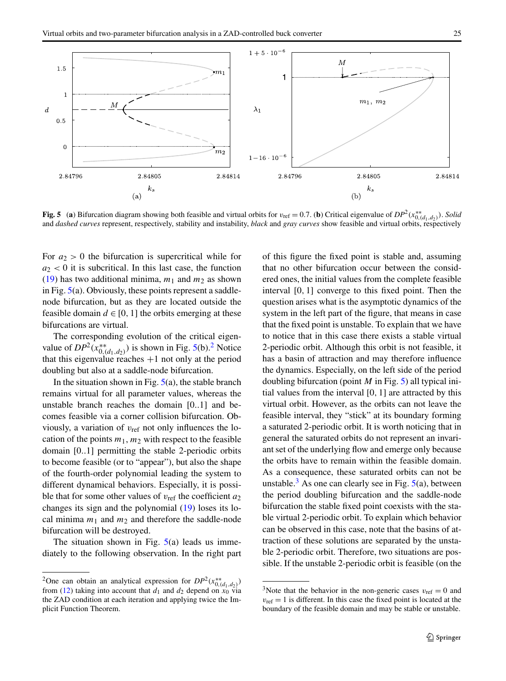

<span id="page-6-0"></span>**Fig. 5** (a) Bifurcation diagram showing both feasible and virtual orbits for  $v_{\text{ref}} = 0.7$ . (b) Critical eigenvalue of  $DP^2(x_{0,(d_1,d_2)}^{**})$ . *Solid* and *dashed curves* represent, respectively, stability and instability, *black* and *gray curves* show feasible and virtual orbits, respectively

For  $a_2 > 0$  the bifurcation is supercritical while for  $a_2$  < 0 it is subcritical. In this last case, the function [\(19](#page-5-2)) has two additional minima,  $m_1$  and  $m_2$  as shown in Fig.  $5(a)$  $5(a)$ . Obviously, these points represent a saddlenode bifurcation, but as they are located outside the feasible domain  $d \in [0, 1]$  the orbits emerging at these bifurcations are virtual.

The corresponding evolution of the critical eigenvalue of  $DP^2(x_{0,(d_1,d_2)}^{**})$  $DP^2(x_{0,(d_1,d_2)}^{**})$  $DP^2(x_{0,(d_1,d_2)}^{**})$  is shown in Fig. [5\(](#page-6-0)b).<sup>2</sup> Notice that this eigenvalue reaches  $+1$  not only at the period doubling but also at a saddle-node bifurcation.

In the situation shown in Fig.  $5(a)$  $5(a)$ , the stable branch remains virtual for all parameter values, whereas the unstable branch reaches the domain [0*..*1] and becomes feasible via a corner collision bifurcation. Obviously, a variation of *v*ref not only influences the location of the points  $m_1$ ,  $m_2$  with respect to the feasible domain [0*..*1] permitting the stable 2-periodic orbits to become feasible (or to "appear"), but also the shape of the fourth-order polynomial leading the system to different dynamical behaviors. Especially, it is possible that for some other values of  $v_{ref}$  the coefficient  $a_2$ changes its sign and the polynomial ([19\)](#page-5-2) loses its local minima  $m_1$  and  $m_2$  and therefore the saddle-node bifurcation will be destroyed.

<span id="page-6-1"></span>The situation shown in Fig.  $5(a)$  $5(a)$  leads us immediately to the following observation. In the right part of this figure the fixed point is stable and, assuming that no other bifurcation occur between the considered ones, the initial values from the complete feasible interval [0*,* 1] converge to this fixed point. Then the question arises what is the asymptotic dynamics of the system in the left part of the figure, that means in case that the fixed point is unstable. To explain that we have to notice that in this case there exists a stable virtual 2-periodic orbit. Although this orbit is not feasible, it has a basin of attraction and may therefore influence the dynamics. Especially, on the left side of the period doubling bifurcation (point *M* in Fig. [5](#page-6-0)) all typical initial values from the interval [0*,* 1] are attracted by this virtual orbit. However, as the orbits can not leave the feasible interval, they "stick" at its boundary forming a saturated 2-periodic orbit. It is worth noticing that in general the saturated orbits do not represent an invariant set of the underlying flow and emerge only because the orbits have to remain within the feasible domain. As a consequence, these saturated orbits can not be unstable.<sup>[3](#page-6-2)</sup> As one can clearly see in Fig.  $5(a)$  $5(a)$ , between the period doubling bifurcation and the saddle-node bifurcation the stable fixed point coexists with the stable virtual 2-periodic orbit. To explain which behavior can be observed in this case, note that the basins of attraction of these solutions are separated by the unstable 2-periodic orbit. Therefore, two situations are possible. If the unstable 2-periodic orbit is feasible (on the

<sup>&</sup>lt;sup>2</sup>One can obtain an analytical expression for  $DP^2(x_{0,(d_1,d_2)}^{**})$ from ([12](#page-3-5)) taking into account that  $d_1$  and  $d_2$  depend on  $x_0$  via the ZAD condition at each iteration and applying twice the Implicit Function Theorem.

<span id="page-6-2"></span><sup>&</sup>lt;sup>3</sup>Note that the behavior in the non-generic cases  $v_{\text{ref}} = 0$  and *v*ref = 1 is different. In this case the fixed point is located at the boundary of the feasible domain and may be stable or unstable.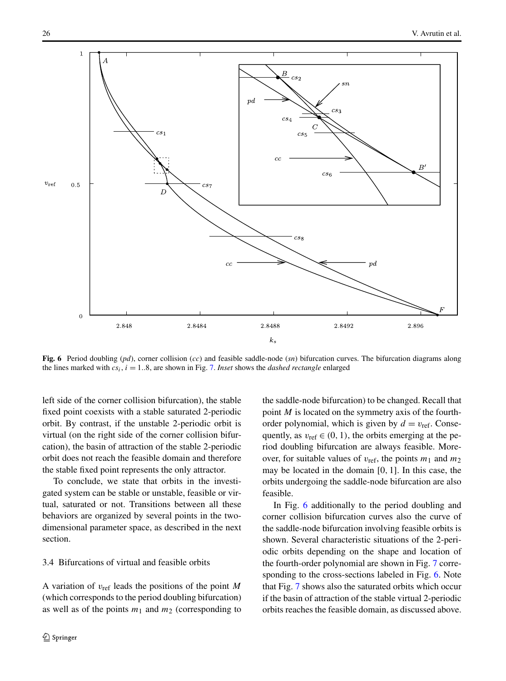

<span id="page-7-0"></span>**Fig. 6** Period doubling (*pd*), corner collision (*cc*) and feasible saddle-node (*sn*) bifurcation curves. The bifurcation diagrams along the lines marked with  $cs_i$ ,  $i = 1..8$ , are shown in Fig. [7](#page-8-0). *Inset* shows the *dashed rectangle* enlarged

left side of the corner collision bifurcation), the stable fixed point coexists with a stable saturated 2-periodic orbit. By contrast, if the unstable 2-periodic orbit is virtual (on the right side of the corner collision bifurcation), the basin of attraction of the stable 2-periodic orbit does not reach the feasible domain and therefore the stable fixed point represents the only attractor.

To conclude, we state that orbits in the investigated system can be stable or unstable, feasible or virtual, saturated or not. Transitions between all these behaviors are organized by several points in the twodimensional parameter space, as described in the next section.

# 3.4 Bifurcations of virtual and feasible orbits

A variation of *v*ref leads the positions of the point *M* (which corresponds to the period doubling bifurcation) as well as of the points  $m_1$  and  $m_2$  (corresponding to the saddle-node bifurcation) to be changed. Recall that point *M* is located on the symmetry axis of the fourthorder polynomial, which is given by  $d = v_{ref}$ . Consequently, as  $v_{ref} \in (0, 1)$ , the orbits emerging at the period doubling bifurcation are always feasible. Moreover, for suitable values of  $v_{ref}$ , the points  $m_1$  and  $m_2$ may be located in the domain [0*,* 1]. In this case, the orbits undergoing the saddle-node bifurcation are also feasible.

In Fig. [6](#page-7-0) additionally to the period doubling and corner collision bifurcation curves also the curve of the saddle-node bifurcation involving feasible orbits is shown. Several characteristic situations of the 2-periodic orbits depending on the shape and location of the fourth-order polynomial are shown in Fig. [7](#page-8-0) corresponding to the cross-sections labeled in Fig. [6](#page-7-0). Note that Fig. [7](#page-8-0) shows also the saturated orbits which occur if the basin of attraction of the stable virtual 2-periodic orbits reaches the feasible domain, as discussed above.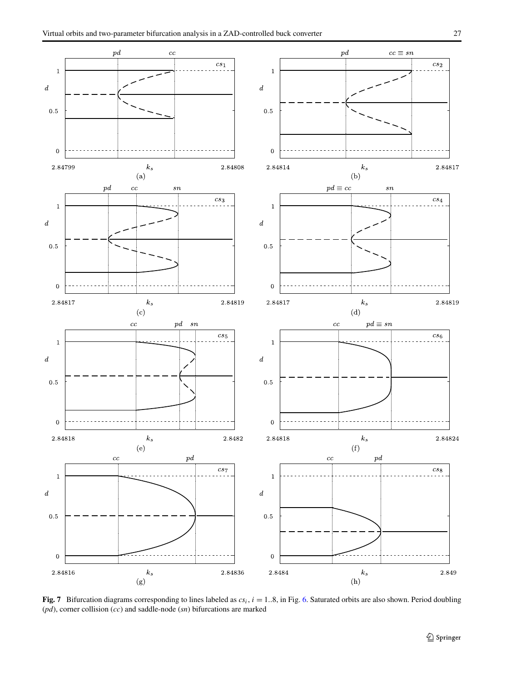

<span id="page-8-0"></span>**Fig. 7** Bifurcation diagrams corresponding to lines labeled as *csi*, *i* = 1*..*8, in Fig. [6](#page-7-0). Saturated orbits are also shown. Period doubling (*pd*), corner collision (*cc*) and saddle-node (*sn*) bifurcations are marked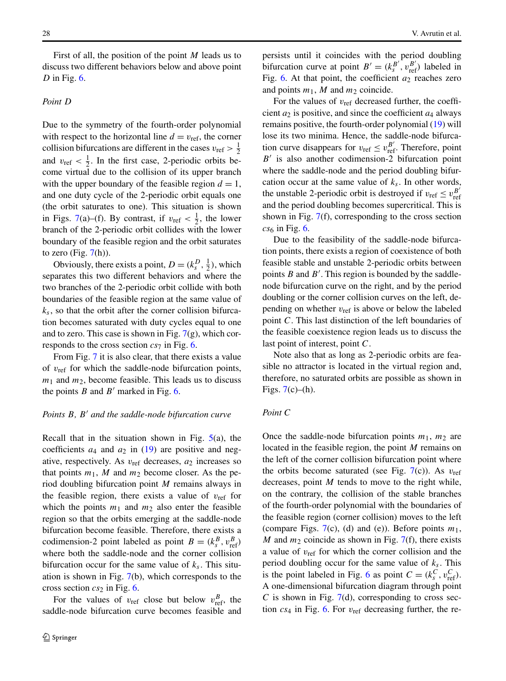First of all, the position of the point *M* leads us to discuss two different behaviors below and above point *D* in Fig. [6](#page-7-0).

#### *Point D*

Due to the symmetry of the fourth-order polynomial with respect to the horizontal line  $d = v_{ref}$ , the corner collision bifurcations are different in the cases  $v_{\text{ref}} > \frac{1}{2}$ and  $v_{\text{ref}} < \frac{1}{2}$ . In the first case, 2-periodic orbits become virtual due to the collision of its upper branch with the upper boundary of the feasible region  $d = 1$ , and one duty cycle of the 2-periodic orbit equals one (the orbit saturates to one). This situation is shown in Figs. [7](#page-8-0)(a)–(f). By contrast, if  $v_{ref} < \frac{1}{2}$ , the lower branch of the 2-periodic orbit collides with the lower boundary of the feasible region and the orbit saturates to zero (Fig.  $7(h)$  $7(h)$ ).

Obviously, there exists a point,  $D = (k_s^D, \frac{1}{2})$ , which separates this two different behaviors and where the two branches of the 2-periodic orbit collide with both boundaries of the feasible region at the same value of  $k<sub>s</sub>$ , so that the orbit after the corner collision bifurcation becomes saturated with duty cycles equal to one and to zero. This case is shown in Fig.  $7(g)$  $7(g)$ , which corresponds to the cross section *cs*<sup>7</sup> in Fig. [6](#page-7-0).

From Fig. [7](#page-8-0) it is also clear, that there exists a value of *v*ref for which the saddle-node bifurcation points,  $m_1$  and  $m_2$ , become feasible. This leads us to discuss the points  $B$  and  $B'$  marked in Fig. [6.](#page-7-0)

# *Points B, B and the saddle-node bifurcation curve*

Recall that in the situation shown in Fig.  $5(a)$  $5(a)$ , the coefficients  $a_4$  and  $a_2$  in [\(19](#page-5-2)) are positive and negative, respectively. As *v*ref decreases, *a*<sup>2</sup> increases so that points  $m_1$ , M and  $m_2$  become closer. As the period doubling bifurcation point *M* remains always in the feasible region, there exists a value of  $v_{\text{ref}}$  for which the points  $m_1$  and  $m_2$  also enter the feasible region so that the orbits emerging at the saddle-node bifurcation become feasible. Therefore, there exists a codimension-2 point labeled as point  $B = (k_s^B, v_{\text{ref}}^B)$ where both the saddle-node and the corner collision bifurcation occur for the same value of  $k_s$ . This situation is shown in Fig. [7](#page-8-0)(b), which corresponds to the cross section *cs*<sup>2</sup> in Fig. [6](#page-7-0).

For the values of  $v_{ref}$  close but below  $v_{ref}^B$ , the saddle-node bifurcation curve becomes feasible and persists until it coincides with the period doubling bifurcation curve at point  $B' = (k_s^{B'}, v_{\text{ref}}^{B'})$  labeled in Fig. [6](#page-7-0). At that point, the coefficient  $a_2$  reaches zero and points  $m_1$ , M and  $m_2$  coincide.

For the values of  $v_{ref}$  decreased further, the coefficient  $a_2$  is positive, and since the coefficient  $a_4$  always remains positive, the fourth-order polynomial [\(19](#page-5-2)) will lose its two minima. Hence, the saddle-node bifurcation curve disappears for  $v_{ref} \le v_{ref}^{B'}$ . Therefore, point  $B'$  is also another codimension-2 bifurcation point where the saddle-node and the period doubling bifurcation occur at the same value of  $k<sub>s</sub>$ . In other words, the unstable 2-periodic orbit is destroyed if  $v_{\text{ref}} \le v_{\text{ref}}^{B'}$ and the period doubling becomes supercritical. This is shown in Fig. [7\(](#page-8-0)f), corresponding to the cross section  $cs_6$  in Fig.  $6$ .

Due to the feasibility of the saddle-node bifurcation points, there exists a region of coexistence of both feasible stable and unstable 2-periodic orbits between points *B* and *B* . This region is bounded by the saddlenode bifurcation curve on the right, and by the period doubling or the corner collision curves on the left, depending on whether  $v_{ref}$  is above or below the labeled point *C*. This last distinction of the left boundaries of the feasible coexistence region leads us to discuss the last point of interest, point *C*.

Note also that as long as 2-periodic orbits are feasible no attractor is located in the virtual region and, therefore, no saturated orbits are possible as shown in Figs.  $7(c)$  $7(c)$ –(h).

#### *Point C*

Once the saddle-node bifurcation points  $m_1$ ,  $m_2$  are located in the feasible region, the point *M* remains on the left of the corner collision bifurcation point where the orbits become saturated (see Fig.  $7(c)$  $7(c)$ ). As  $v_{ref}$ decreases, point *M* tends to move to the right while, on the contrary, the collision of the stable branches of the fourth-order polynomial with the boundaries of the feasible region (corner collision) moves to the left (compare Figs. [7\(](#page-8-0)c), (d) and (e)). Before points *m*1, *M* and *m*<sup>2</sup> coincide as shown in Fig. [7\(](#page-8-0)f), there exists a value of *v*ref for which the corner collision and the period doubling occur for the same value of  $k_s$ . This is the point labeled in Fig. [6](#page-7-0) as point  $C = (k_s^C, v_{ref}^C)$ . A one-dimensional bifurcation diagram through point  $C$  is shown in Fig. [7\(](#page-8-0)d), corresponding to cross section *cs*<sup>4</sup> in Fig. [6](#page-7-0). For *v*ref decreasing further, the re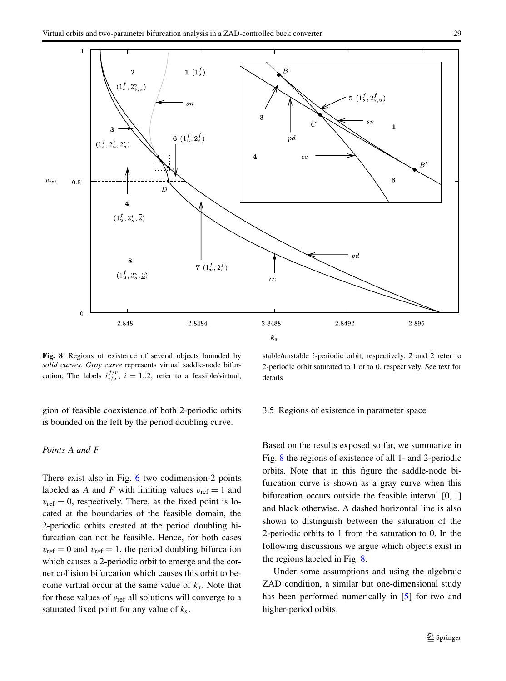7  $(1_u^f, 2_s^f)$ 

2.8484



 $\overline{c}c$ 

2.8488

 $k_{s}$ 

<span id="page-10-0"></span>**Fig. 8** Regions of existence of several objects bounded by *solid curves*. *Gray curve* represents virtual saddle-node bifurcation. The labels  $i_{s/u}^{f/v}$ ,  $i = 1..2$ , refer to a feasible/virtual,

8

 $(1_u^f, 2_v^v, 2)$ 

2.848

gion of feasible coexistence of both 2-periodic orbits is bounded on the left by the period doubling curve.

# *Points A and F*

 $v_{\rm ref}$ 

 $0.5$ 

 $\theta$ 

There exist also in Fig. [6](#page-7-0) two codimension-2 points labeled as *A* and *F* with limiting values  $v_{ref} = 1$  and  $v_{\text{ref}} = 0$ , respectively. There, as the fixed point is located at the boundaries of the feasible domain, the 2-periodic orbits created at the period doubling bifurcation can not be feasible. Hence, for both cases  $v_{\text{ref}} = 0$  and  $v_{\text{ref}} = 1$ , the period doubling bifurcation which causes a 2-periodic orbit to emerge and the corner collision bifurcation which causes this orbit to become virtual occur at the same value of  $k_s$ . Note that for these values of  $v_{ref}$  all solutions will converge to a saturated fixed point for any value of *ks*.

stable/unstable *i*-periodic orbit, respectively.  $2$  and  $\overline{2}$  refer to 2-periodic orbit saturated to 1 or to 0, respectively. See text for details

2.896

 $pd$ 

#### 3.5 Regions of existence in parameter space

2.8492

Based on the results exposed so far, we summarize in Fig. [8](#page-10-0) the regions of existence of all 1- and 2-periodic orbits. Note that in this figure the saddle-node bifurcation curve is shown as a gray curve when this bifurcation occurs outside the feasible interval [0*,* 1] and black otherwise. A dashed horizontal line is also shown to distinguish between the saturation of the 2-periodic orbits to 1 from the saturation to 0. In the following discussions we argue which objects exist in the regions labeled in Fig. [8](#page-10-0).

Under some assumptions and using the algebraic ZAD condition, a similar but one-dimensional study has been performed numerically in [\[5](#page-14-3)] for two and higher-period orbits.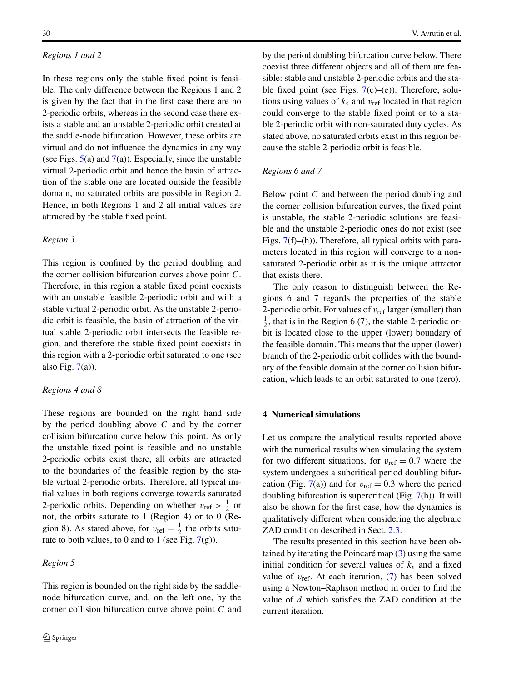# *Regions 1 and 2*

In these regions only the stable fixed point is feasible. The only difference between the Regions 1 and 2 is given by the fact that in the first case there are no 2-periodic orbits, whereas in the second case there exists a stable and an unstable 2-periodic orbit created at the saddle-node bifurcation. However, these orbits are virtual and do not influence the dynamics in any way (see Figs.  $5(a)$  $5(a)$  and  $7(a)$  $7(a)$ ). Especially, since the unstable virtual 2-periodic orbit and hence the basin of attraction of the stable one are located outside the feasible domain, no saturated orbits are possible in Region 2. Hence, in both Regions 1 and 2 all initial values are attracted by the stable fixed point.

#### *Region 3*

This region is confined by the period doubling and the corner collision bifurcation curves above point *C*. Therefore, in this region a stable fixed point coexists with an unstable feasible 2-periodic orbit and with a stable virtual 2-periodic orbit. As the unstable 2-periodic orbit is feasible, the basin of attraction of the virtual stable 2-periodic orbit intersects the feasible region, and therefore the stable fixed point coexists in this region with a 2-periodic orbit saturated to one (see also Fig.  $7(a)$  $7(a)$ ).

## *Regions 4 and 8*

These regions are bounded on the right hand side by the period doubling above *C* and by the corner collision bifurcation curve below this point. As only the unstable fixed point is feasible and no unstable 2-periodic orbits exist there, all orbits are attracted to the boundaries of the feasible region by the stable virtual 2-periodic orbits. Therefore, all typical initial values in both regions converge towards saturated 2-periodic orbits. Depending on whether  $v_{\text{ref}} > \frac{1}{2}$  or not, the orbits saturate to 1 (Region 4) or to 0 (Region 8). As stated above, for  $v_{\text{ref}} = \frac{1}{2}$  the orbits saturate to both values, to 0 and to 1 (see Fig.  $7(g)$  $7(g)$ ).

# *Region 5*

This region is bounded on the right side by the saddlenode bifurcation curve, and, on the left one, by the corner collision bifurcation curve above point *C* and by the period doubling bifurcation curve below. There coexist three different objects and all of them are feasible: stable and unstable 2-periodic orbits and the stable fixed point (see Figs.  $7(c)$  $7(c)$ – $(e)$ ). Therefore, solutions using values of  $k_s$  and  $v_{ref}$  located in that region could converge to the stable fixed point or to a stable 2-periodic orbit with non-saturated duty cycles. As stated above, no saturated orbits exist in this region because the stable 2-periodic orbit is feasible.

#### *Regions 6 and 7*

Below point *C* and between the period doubling and the corner collision bifurcation curves, the fixed point is unstable, the stable 2-periodic solutions are feasible and the unstable 2-periodic ones do not exist (see Figs. [7](#page-8-0)(f)–(h)). Therefore, all typical orbits with parameters located in this region will converge to a nonsaturated 2-periodic orbit as it is the unique attractor that exists there.

<span id="page-11-0"></span>The only reason to distinguish between the Regions 6 and 7 regards the properties of the stable 2-periodic orbit. For values of *v*ref larger (smaller) than  $\frac{1}{2}$ , that is in the Region 6 (7), the stable 2-periodic orbit is located close to the upper (lower) boundary of the feasible domain. This means that the upper (lower) branch of the 2-periodic orbit collides with the boundary of the feasible domain at the corner collision bifurcation, which leads to an orbit saturated to one (zero).

# **4 Numerical simulations**

Let us compare the analytical results reported above with the numerical results when simulating the system for two different situations, for  $v_{ref} = 0.7$  where the system undergoes a subcritical period doubling bifur-cation (Fig. [7\(](#page-8-0)a)) and for  $v_{ref} = 0.3$  where the period doubling bifurcation is supercritical (Fig. [7](#page-8-0)(h)). It will also be shown for the first case, how the dynamics is qualitatively different when considering the algebraic ZAD condition described in Sect. [2.3.](#page-2-6)

The results presented in this section have been obtained by iterating the Poincaré map ([3\)](#page-2-5) using the same initial condition for several values of  $k<sub>s</sub>$  and a fixed value of  $v_{\text{ref}}$ . At each iteration, [\(7\)](#page-3-2) has been solved using a Newton–Raphson method in order to find the value of *d* which satisfies the ZAD condition at the current iteration.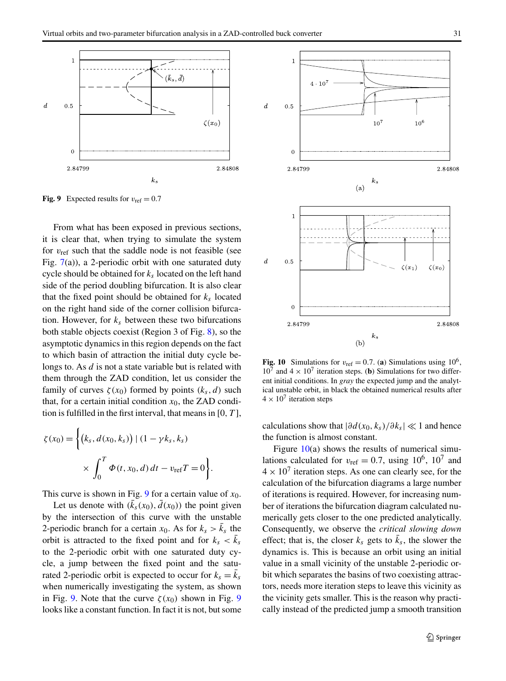<span id="page-12-0"></span>

**Fig. 9** Expected results for  $v_{\text{ref}} = 0.7$ 

From what has been exposed in previous sections, it is clear that, when trying to simulate the system for  $v_{\text{ref}}$  such that the saddle node is not feasible (see Fig.  $7(a)$  $7(a)$ ), a 2-periodic orbit with one saturated duty cycle should be obtained for *ks* located on the left hand side of the period doubling bifurcation. It is also clear that the fixed point should be obtained for  $k<sub>s</sub>$  located on the right hand side of the corner collision bifurcation. However, for  $k<sub>s</sub>$  between these two bifurcations both stable objects coexist (Region 3 of Fig. [8](#page-10-0)), so the asymptotic dynamics in this region depends on the fact to which basin of attraction the initial duty cycle belongs to. As *d* is not a state variable but is related with them through the ZAD condition, let us consider the family of curves  $\zeta(x_0)$  formed by points  $(k_s, d)$  such that, for a certain initial condition  $x_0$ , the ZAD condition is fulfilled in the first interval, that means in [0*,T* ],

$$
\zeta(x_0) = \left\{ (k_s, d(x_0, k_s)) \mid (1 - \gamma k_s, k_s) \times \int_0^T \Phi(t, x_0, d) dt - v_{\text{ref}} T = 0 \right\}.
$$

This curve is shown in Fig. [9](#page-12-0) for a certain value of  $x_0$ .

Let us denote with  $(\bar{k}_s(x_0), \bar{d}(x_0))$  the point given by the intersection of this curve with the unstable 2-periodic branch for a certain  $x_0$ . As for  $k_s > \bar{k}_s$  the orbit is attracted to the fixed point and for  $k_s < \bar{k}_s$ to the 2-periodic orbit with one saturated duty cycle, a jump between the fixed point and the saturated 2-periodic orbit is expected to occur for  $k_s = \bar{k}_s$ when numerically investigating the system, as shown in Fig. [9](#page-12-0). Note that the curve  $\zeta(x_0)$  shown in Fig. 9 looks like a constant function. In fact it is not, but some



<span id="page-12-1"></span>**Fig. 10** Simulations for  $v_{ref} = 0.7$ . (a) Simulations using 10<sup>6</sup>,  $10^7$  and  $4 \times 10^7$  iteration steps. (**b**) Simulations for two different initial conditions. In *gray* the expected jump and the analytical unstable orbit, in black the obtained numerical results after  $4 \times 10^7$  iteration steps

calculations show that  $|\partial d(x_0, k_s)/\partial k_s| \ll 1$  and hence the function is almost constant.

Figure  $10(a)$  $10(a)$  shows the results of numerical simulations calculated for  $v_{ref} = 0.7$ , using 10<sup>6</sup>, 10<sup>7</sup> and  $4 \times 10^7$  iteration steps. As one can clearly see, for the calculation of the bifurcation diagrams a large number of iterations is required. However, for increasing number of iterations the bifurcation diagram calculated numerically gets closer to the one predicted analytically. Consequently, we observe the *critical slowing down* effect; that is, the closer  $k_s$  gets to  $\bar{k}_s$ , the slower the dynamics is. This is because an orbit using an initial value in a small vicinity of the unstable 2-periodic orbit which separates the basins of two coexisting attractors, needs more iteration steps to leave this vicinity as the vicinity gets smaller. This is the reason why practically instead of the predicted jump a smooth transition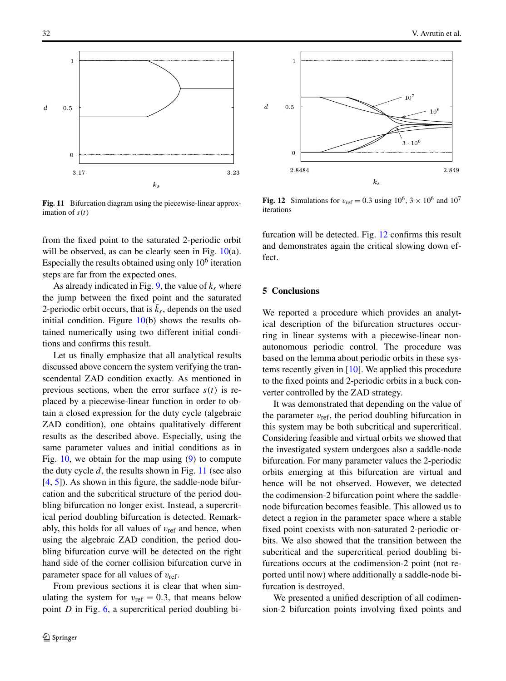

<span id="page-13-1"></span>**Fig. 11** Bifurcation diagram using the piecewise-linear approximation of *s(t)*

from the fixed point to the saturated 2-periodic orbit will be observed, as can be clearly seen in Fig.  $10(a)$  $10(a)$ . Especially the results obtained using only  $10<sup>6</sup>$  iteration steps are far from the expected ones.

As already indicated in Fig. [9](#page-12-0), the value of  $k_s$  where the jump between the fixed point and the saturated 2-periodic orbit occurs, that is  $\bar{k}_s$ , depends on the used initial condition. Figure  $10(b)$  $10(b)$  shows the results obtained numerically using two different initial conditions and confirms this result.

Let us finally emphasize that all analytical results discussed above concern the system verifying the transcendental ZAD condition exactly. As mentioned in previous sections, when the error surface  $s(t)$  is replaced by a piecewise-linear function in order to obtain a closed expression for the duty cycle (algebraic ZAD condition), one obtains qualitatively different results as the described above. Especially, using the same parameter values and initial conditions as in Fig.  $10$ , we obtain for the map using  $(9)$  $(9)$  to compute the duty cycle  $d$ , the results shown in Fig.  $11$  (see also  $[4, 5]$  $[4, 5]$  $[4, 5]$  $[4, 5]$ ). As shown in this figure, the saddle-node bifurcation and the subcritical structure of the period doubling bifurcation no longer exist. Instead, a supercritical period doubling bifurcation is detected. Remarkably, this holds for all values of  $v_{ref}$  and hence, when using the algebraic ZAD condition, the period doubling bifurcation curve will be detected on the right hand side of the corner collision bifurcation curve in parameter space for all values of *v*ref.

From previous sections it is clear that when simulating the system for  $v_{ref} = 0.3$ , that means below point *D* in Fig. [6,](#page-7-0) a supercritical period doubling bi-



<span id="page-13-2"></span>**Fig. 12** Simulations for  $v_{ref} = 0.3$  using  $10^6$ ,  $3 \times 10^6$  and  $10^7$ iterations

<span id="page-13-0"></span>furcation will be detected. Fig. [12](#page-13-2) confirms this result and demonstrates again the critical slowing down effect.

# **5 Conclusions**

We reported a procedure which provides an analytical description of the bifurcation structures occurring in linear systems with a piecewise-linear nonautonomous periodic control. The procedure was based on the lemma about periodic orbits in these systems recently given in [\[10](#page-14-7)]. We applied this procedure to the fixed points and 2-periodic orbits in a buck converter controlled by the ZAD strategy.

It was demonstrated that depending on the value of the parameter  $v_{\text{ref}}$ , the period doubling bifurcation in this system may be both subcritical and supercritical. Considering feasible and virtual orbits we showed that the investigated system undergoes also a saddle-node bifurcation. For many parameter values the 2-periodic orbits emerging at this bifurcation are virtual and hence will be not observed. However, we detected the codimension-2 bifurcation point where the saddlenode bifurcation becomes feasible. This allowed us to detect a region in the parameter space where a stable fixed point coexists with non-saturated 2-periodic orbits. We also showed that the transition between the subcritical and the supercritical period doubling bifurcations occurs at the codimension-2 point (not reported until now) where additionally a saddle-node bifurcation is destroyed.

We presented a unified description of all codimension-2 bifurcation points involving fixed points and